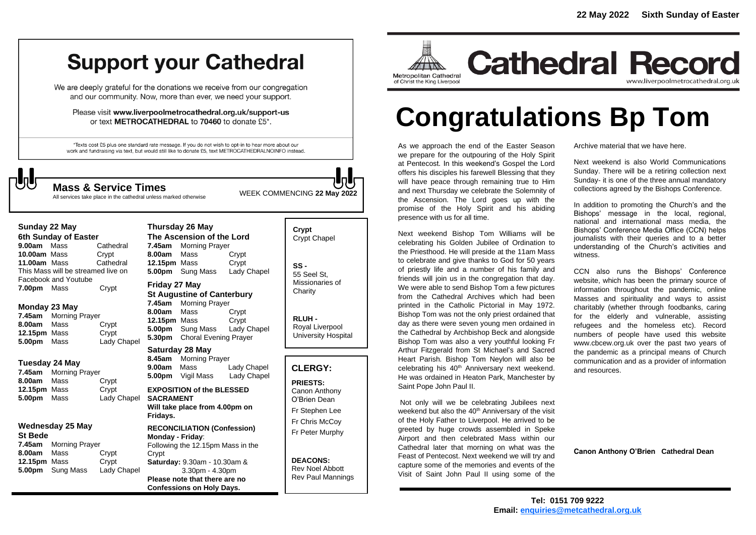## **Support your Cathedral**

We are deeply grateful for the donations we receive from our congregation and our community. Now, more than ever, we need your support.

Please visit www.liverpoolmetrocathedral.org.uk/support-us or text METROCATHEDRAL to 70460 to donate £5\*.

\*Texts cost £5 plus one standard rate message. If you do not wish to opt-in to hear more about our work and fundraising via text, but would still like to donate £5, text METROCATHEDRALNOINFO instead.

WEEK COMMENCING **<sup>22</sup> May <sup>2022</sup> Mass & Service Times**

All services take place in the cathedral unless marked otherwise

**Thursday 26 May**

### **Sunday 22 May**

**6th Sunday of Easter 9.00am** MassCathedral **10.00am** MassCrypt **11.00am** Mass Cathedral This Mass will be streamed live on Facebook and Youtube **7.00pm** Mass Crypt

### **Monday 23 May**

**7.45am** Morning Prayer **8.00am** Mass Crypt **12.15pm** Mass Crypt **5.00pm** Mass Lady Chapel

### **Tuesday 24 May**

**7.45am** Morning Prayer **8.00am** Mass Crypt **12.15pm** Mass Crypt **5.00pm** Mass Lady Chapel

### **Wednesday 25 May St Bede**

**7.45am** Morning Prayer **8.00am** Mass Crypt **12.15pm** Mass Crypt **5.00pm** Sung Mass Lady Chapel

| Thursuay zo May                   |                       |             |
|-----------------------------------|-----------------------|-------------|
| The Ascension of the Lord         |                       |             |
|                                   | 7.45am Morning Prayer |             |
| 8.00am Mass                       |                       | Crypt       |
| 12.15pm Mass                      |                       | Crypt       |
|                                   | 5.00pm Sung Mass      | Lady Chapel |
| Friday 27 May                     |                       |             |
| <b>St Augustine of Canterbury</b> |                       |             |
|                                   | 7.45am Morning Prayer |             |
| 8.00am Mass                       |                       | Crvpt       |
|                                   |                       |             |

**12.15pm** Mass Crypt **5.00pm** Sung Mass Lady Chapel **5.30pm** Choral Evening Prayer

### **Saturday 28 May**

**8.45am** Morning Prayer **9.00am** Mass Lady Chapel **5.00pm** Vigil Mass Lady Chapel

### **EXPOSITION of the BLESSED SACRAMENT Will take place from 4.00pm on Fridays.**

**RECONCILIATION (Confession) Monday - Friday**: Following the 12.15pm Mass in the **Crypt Saturday:** 9.30am - 10.30am & 3.30pm - 4.30pm **Please note that there are no Confessions on Holy Days.**

### **Crypt**  Crypt Chapel **SS -**

55 Seel St, Missionaries of **Charity** 

**RLUH -** Royal Liverpool University Hospital

### **CLERGY:**

**PRIESTS:** Canon Anthony O'Brien *Dean* Fr Stephen Lee Fr Chris McCoy Fr Peter Murphy

**DEACONS:** Rev Noel Abbott Rev Paul Mannings



**Cathedral Record** www.liverpoolmetrocathedral.org.uk

# **Congratulations Bp Tom**

As we approach the end of the Easter Season we prepare for the outpouring of the Holy Spirit at Pentecost. In this weekend's Gospel the Lord offers his disciples his farewell Blessing that they will have peace through remaining true to Him and next Thursday we celebrate the Solemnity of the Ascension. The Lord goes up with the promise of the Holy Spirit and his abiding presence with us for all time.

Next weekend Bishop Tom Williams will be celebrating his Golden Jubilee of Ordination to the Priesthood. He will preside at the 11am Mass to celebrate and give thanks to God for 50 years of priestly life and a number of his family and friends will join us in the congregation that day. We were able to send Bishop Tom a few pictures from the Cathedral Archives which had been printed in the Catholic Pictorial in May 1972. Bishop Tom was not the only priest ordained that day as there were seven young men ordained in the Cathedral by Archbishop Beck and alongside Bishop Tom was also a very youthful looking Fr Arthur Fitzgerald from St Michael's and Sacred Heart Parish. Bishop Tom Neylon will also be celebrating his 40<sup>th</sup> Anniversary next weekend. He was ordained in Heaton Park, Manchester by Saint Pope John Paul II.

Not only will we be celebrating Jubilees next weekend but also the 40<sup>th</sup> Anniversary of the visit of the Holy Father to Liverpool. He arrived to be greeted by huge crowds assembled in Speke Airport and then celebrated Mass within our Cathedral later that morning on what was the Feast of Pentecost. Next weekend we will try and capture some of the memories and events of the Visit of Saint John Paul II using some of the

Archive material that we have here.

Next weekend is also World Communications Sunday. There will be a retiring collection next Sunday- it is one of the three annual mandatory collections agreed by the Bishops Conference.

In addition to promoting the Church's and the Bishops' message in the local, regional, national and international mass media, the Bishops' Conference Media Office (CCN) helps journalists with their queries and to a better understanding of the Church's activities and witness.

CCN also runs the Bishops' Conference website, which has been the primary source of information throughout the pandemic, online Masses and spirituality and ways to assist charitably (whether through foodbanks, caring for the elderly and vulnerable, assisting refugees and the homeless etc). Record numbers of people have used this website *www.cbcew.org.uk* over the past two years of the pandemic as a principal means of Church communication and as a provider of information and resources.

**Canon Anthony O'Brien Cathedral Dean**